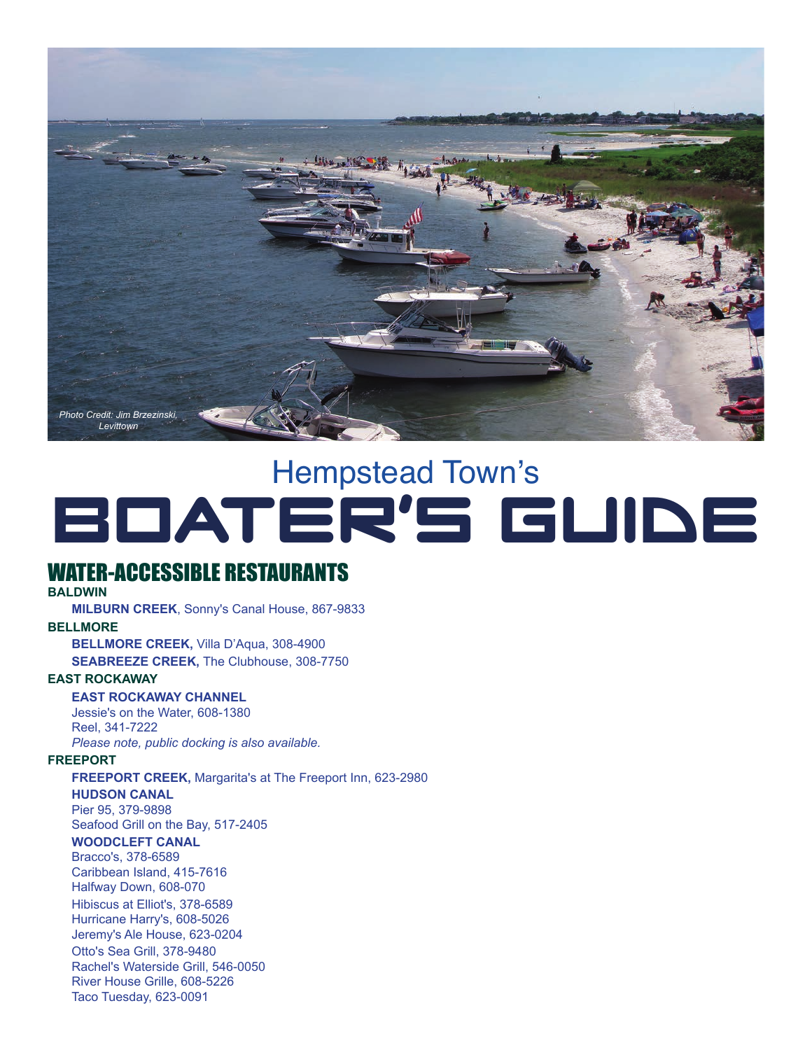

# Hempstead Town's BOATER'S GUIDE

# WATER-ACCESSIBLE RESTAURANTS

### **BALDWIN**

**MILBURN CREEK**, Sonny's Canal House, 867-9833 **BELLMORE** 

**BELLMORE CREEK,** Villa D'Aqua, 308-4900

**SEABREEZE CREEK,** The Clubhouse, 308-7750

### **EAST ROCKAWAY**

**EAST ROCKAWAY CHANNEL**  Jessie's on the Water, 608-1380 Reel, 341-7222 *Please note, public docking is also available.* 

#### **FREEPORT**

**FREEPORT CREEK,** Margarita's at The Freeport Inn, 623-2980

#### **HUDSON CANAL**

Pier 95, 379-9898 Seafood Grill on the Bay, 517-2405

# **WOODCLEFT CANAL**

Bracco's, 378-6589 Caribbean Island, 415-7616 Halfway Down, 608-070 Hibiscus at Elliot's, 378-6589 Hurricane Harry's, 608-5026 Jeremy's Ale House, 623-0204

Otto's Sea Grill, 378-9480 Rachel's Waterside Grill, 546-0050 River House Grille, 608-5226 Taco Tuesday, 623-0091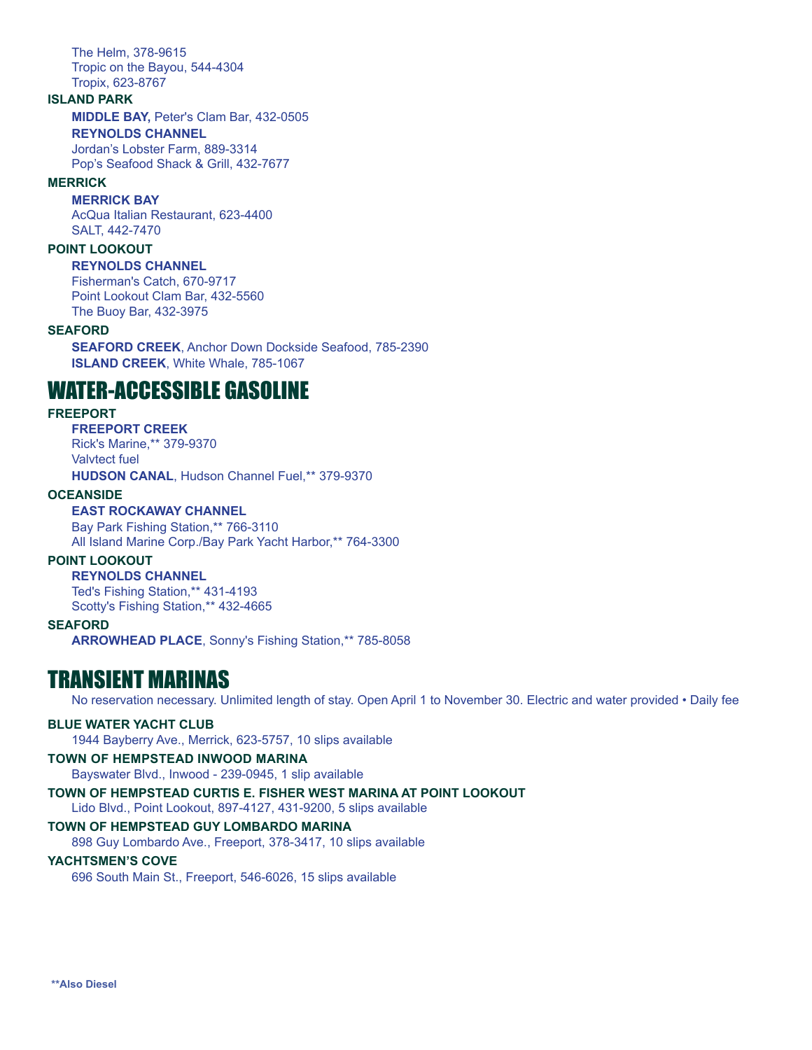The Helm, 378-9615 Tropic on the Bayou, 544-4304 Tropix, 623-8767

#### **ISLAND PARK**

**MIDDLE BAY,** Peter's Clam Bar, 432-0505 **REYNOLDS CHANNEL**  Jordan's Lobster Farm, 889-3314 Pop's Seafood Shack & Grill, 432-7677

#### **MERRICK**

**MERRICK BAY**  AcQua Italian Restaurant, 623-4400 SALT, 442-7470

### **POINT LOOKOUT**

#### **REYNOLDS CHANNEL**

Fisherman's Catch, 670-9717 Point Lookout Clam Bar, 432-5560 The Buoy Bar, 432-3975

#### **SEAFORD**

 **ISLAND CREEK**, White Whale, 785-1067 **SEAFORD CREEK**, Anchor Down Dockside Seafood, 785-2390

# WATER-ACCESSIBLE GASOLINE

### **FREEPORT**

**FREEPORT CREEK**  Rick's Marine,\*\* 379-9370 Valvtect fuel **HUDSON CANAL**, Hudson Channel Fuel,\*\* 379-9370

#### **OCEANSIDE**

### **EAST ROCKAWAY CHANNEL**

Bay Park Fishing Station,\*\* 766-3110 All Island Marine Corp./Bay Park Yacht Harbor,\*\* 764-3300

### **POINT LOOKOUT**

**REYNOLDS CHANNEL**  Ted's Fishing Station,\*\* 431-4193 Scotty's Fishing Station,\*\* 432-4665

#### **SEAFORD**

**ARROWHEAD PLACE**, Sonny's Fishing Station,\*\* 785-8058

# TRANSIENT MARINAS

No reservation necessary. Unlimited length of stay. Open April 1 to November 30. Electric and water provided • Daily fee

#### **BLUE WATER YACHT CLUB**

1944 Bayberry Ave., Merrick, 623-5757, 10 slips available

### **TOWN OF HEMPSTEAD INWOOD MARINA**

Bayswater Blvd., Inwood - 239-0945, 1 slip available

**TOWN OF HEMPSTEAD CURTIS E. FISHER WEST MARINA AT POINT LOOKOUT**  Lido Blvd., Point Lookout, 897-4127, 431-9200, 5 slips available

### **TOWN OF HEMPSTEAD GUY LOMBARDO MARINA**

898 Guy Lombardo Ave., Freeport, 378-3417, 10 slips available

### **YACHTSMEN'S COVE**

696 South Main St., Freeport, 546-6026, 15 slips available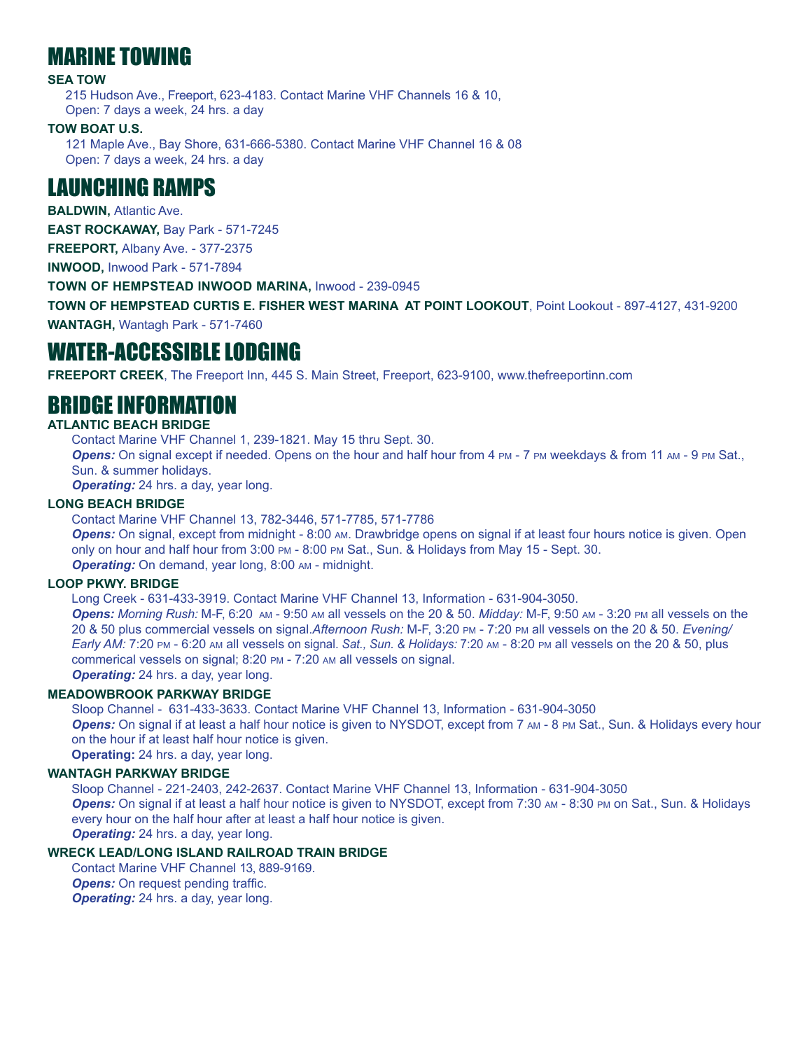# MARINE TOWING

### **SEA TOW**

 215 Hudson Ave., Freeport, 623-4183. Contact Marine VHF Channels 16 & 10, Open: 7 days a week, 24 hrs. a day

# **TOW BOAT U.S.**

121 Maple Ave., Bay Shore, 631-666-5380. Contact Marine VHF Channel 16 & 08 Open: 7 days a week, 24 hrs. a day

# LAUNCHING RAMPS

**BALDWIN,** Atlantic Ave.

**EAST ROCKAWAY,** Bay Park - 571-7245

**FREEPORT,** Albany Ave. - 377-2375

**INWOOD,** Inwood Park - 571-7894

**TOWN OF HEMPSTEAD INWOOD MARINA,** Inwood - 239-0945

 **TOWN OF HEMPSTEAD CURTIS E. FISHER WEST MARINA AT POINT LOOKOUT**, Point Lookout - 897-4127, 431-9200 **WANTAGH,** Wantagh Park - 571-7460

# WATER-ACCESSIBLE LODGING

**FREEPORT CREEK**, The Freeport Inn, 445 S. Main Street, Freeport, 623-9100, www.thefreeportinn.com

# BRIDGE INFORMATION

# **ATLANTIC BEACH BRIDGE**

Contact Marine VHF Channel 1, 239-1821. May 15 thru Sept. 30.

**Opens:** On signal except if needed. Opens on the hour and half hour from 4 PM - 7 PM weekdays & from 11 AM - 9 PM Sat., Sun. & summer holidays.

**Operating:** 24 hrs. a day, year long.

### **LONG BEACH BRIDGE**

Contact Marine VHF Channel 13, 782-3446, 571-7785, 571-7786

**Opens:** On signal, except from midnight - 8:00 AM. Drawbridge opens on signal if at least four hours notice is given. Open only on hour and half hour from 3:00 PM - 8:00 PM Sat., Sun. & Holidays from May 15 - Sept. 30. **Operating:** On demand, year long, 8:00 AM - midnight.

### **LOOP PKWY. BRIDGE**

Long Creek - 631-433-3919. Contact Marine VHF Channel 13, Information - 631-904-3050.

*Opens: Morning Rush:* M-F, 6:20 AM - 9:50 AM all vessels on the 20 & 50. *Midday:* M-F, 9:50 AM - 3:20 PM all vessels on the 20 & 50 plus commercial vessels on signal.*Afternoon Rush:* M-F, 3:20 PM - 7:20 PM all vessels on the 20 & 50. *Evening/ Early AM:* 7:20 PM - 6:20 AM all vessels on signal. *Sat., Sun. & Holidays:* 7:20 AM - 8:20 PM all vessels on the 20 & 50, plus commerical vessels on signal; 8:20 PM - 7:20 AM all vessels on signal.

**Operating:** 24 hrs. a day, year long.

# **MEADOWBROOK PARKWAY BRIDGE**

Sloop Channel - 631-433-3633. Contact Marine VHF Channel 13, Information - 631-904-3050 **Opens:** On signal if at least a half hour notice is given to NYSDOT, except from 7 AM - 8 PM Sat., Sun. & Holidays every hour on the hour if at least half hour notice is given. **Operating:** 24 hrs. a day, year long.

### **WANTAGH PARKWAY BRIDGE**

Sloop Channel - 221-2403, 242-2637. Contact Marine VHF Channel 13, Information - 631-904-3050 **Opens:** On signal if at least a half hour notice is given to NYSDOT, except from 7:30 AM - 8:30 PM on Sat., Sun. & Holidays every hour on the half hour after at least a half hour notice is given. **Operating:** 24 hrs. a day, year long.

# **WRECK LEAD/LONG ISLAND RAILROAD TRAIN BRIDGE**

Contact Marine VHF Channel 13, 889-9169. **Opens:** On request pending traffic. **Operating:** 24 hrs. a day, year long.